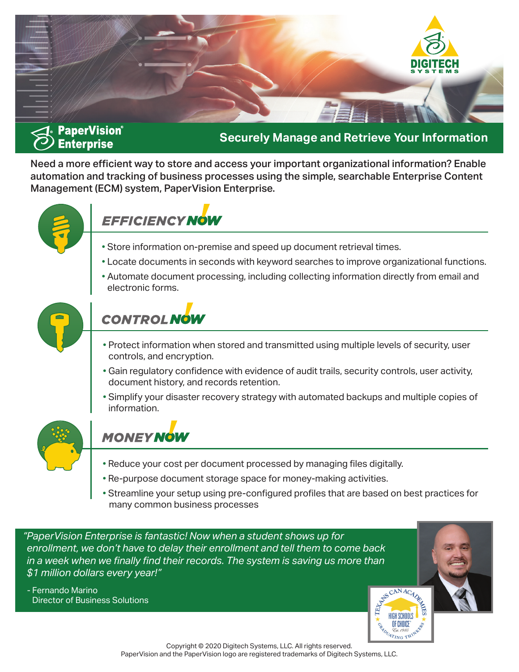

## **Securely Manage and Retrieve Your Information**

Need a more efficient way to store and access your important organizational information? Enable automation and tracking of business processes using the simple, searchable Enterprise Content Management (ECM) system, PaperVision Enterprise.



# **EFFICIENCY NOW**

- Store information on-premise and speed up document retrieval times.
- Locate documents in seconds with keyword searches to improve organizational functions.
- Automate document processing, including collecting information directly from email and electronic forms.



# **CONTROL NOW**

- Protect information when stored and transmitted using multiple levels of security, user controls, and encryption.
- Gain regulatory confidence with evidence of audit trails, security controls, user activity, document history, and records retention.
- Simplify your disaster recovery strategy with automated backups and multiple copies of information.



## **MONEY NOW**

- Reduce your cost per document processed by managing files digitally.
- Re-purpose document storage space for money-making activities.
- Streamline your setup using pre-configured profiles that are based on best practices for many common business processes

*"PaperVision Enterprise is fantastic! Now when a student shows up for enrollment, we don't have to delay their enrollment and tell them to come back in a week when we finally find their records. The system is saving us more than \$1 million dollars every year!"* 

- Fernando Marino Director of Business Solutions

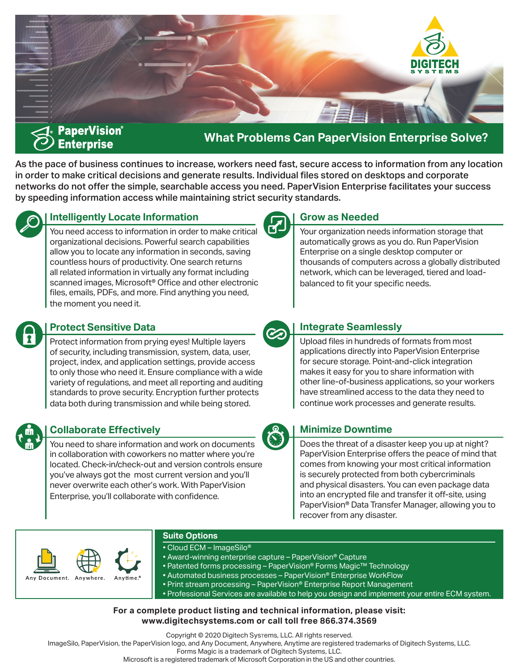

**What Problems Can PaperVision Enterprise Solve?**

**Grow as Needed**

As the pace of business continues to increase, workers need fast, secure access to information from any location in order to make critical decisions and generate results. Individual files stored on desktops and corporate networks do not offer the simple, searchable access you need. PaperVision Enterprise facilitates your success by speeding information access while maintaining strict security standards.



## **Intelligently Locate Information**

You need access to information in order to make critical organizational decisions. Powerful search capabilities allow you to locate any information in seconds, saving countless hours of productivity. One search returns all related information in virtually any format including scanned images, Microsoft<sup>®</sup> Office and other electronic files, emails, PDFs, and more. Find anything you need, the moment you need it.

#### thousands of computers across a globally distributed network, which can be leveraged, tiered and loadbalanced to fit your specific needs.

◘

## **Protect Sensitive Data**

Protect information from prying eyes! Multiple layers of security, including transmission, system, data, user, project, index, and application settings, provide access to only those who need it. Ensure compliance with a wide variety of regulations, and meet all reporting and auditing standards to prove security. Encryption further protects data both during transmission and while being stored.



## **Collaborate Effectively**

You need to share information and work on documents in collaboration with coworkers no matter where you're located. Check-in/check-out and version controls ensure you've always got the most current version and you'll never overwrite each other's work. With PaperVision Enterprise, you'll collaborate with confidence.



## **Integrate Seamlessly**

Upload files in hundreds of formats from most applications directly into PaperVision Enterprise for secure storage. Point-and-click integration makes it easy for you to share information with other line-of-business applications, so your workers have streamlined access to the data they need to continue work processes and generate results.

Your organization needs information storage that automatically grows as you do. Run PaperVision Enterprise on a single desktop computer or

## **Minimize Downtime**

Does the threat of a disaster keep you up at night? PaperVision Enterprise offers the peace of mind that comes from knowing your most critical information is securely protected from both cybercriminals and physical disasters. You can even package data into an encrypted file and transfer it off-site, using PaperVision® Data Transfer Manager, allowing you to recover from any disaster.



#### **Suite Options**

- Cloud ECM ImageSilo®
- Award-winning enterprise capture PaperVision® Capture
- Patented forms processing PaperVision® Forms Magic™ Technology
- Automated business processes PaperVision® Enterprise WorkFlow
- Print stream processing PaperVision® Enterprise Report Management

• Professional Services are available to help you design and implement your entire ECM system.

#### **For a complete product listing and technical information, please visit: www.digitechsystems.com or call toll free 866.374.3569**

Copyright © 2020 Digitech Systems, LLC. All rights reserved.

ImageSilo, PaperVision, the PaperVision logo, and Any Document, Anywhere, Anytime are registered trademarks of Digitech Systems, LLC.

Forms Magic is a trademark of Digitech Systems, LLC.

Microsoft is a registered trademark of Microsoft Corporation in the US and other countries.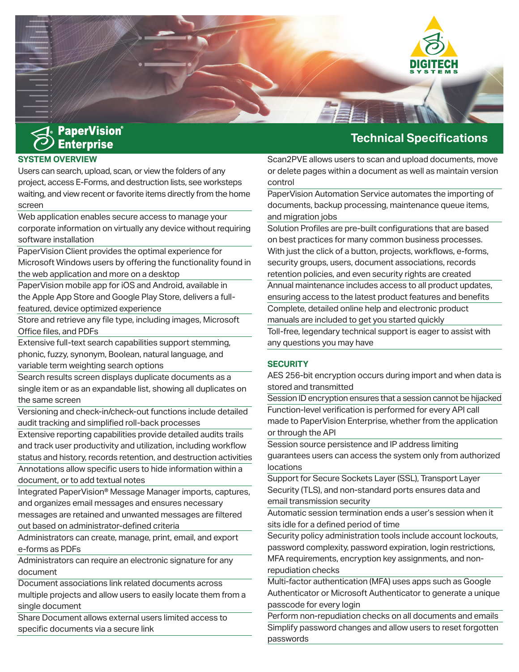

#### **SYSTEM OVERVIEW**

Users can search, upload, scan, or view the folders of any project, access E-Forms, and destruction lists, see worksteps waiting, and view recent or favorite items directly from the home screen

Web application enables secure access to manage your corporate information on virtually any device without requiring software installation

PaperVision Client provides the optimal experience for Microsoft Windows users by offering the functionality found in the web application and more on a desktop

PaperVision mobile app for iOS and Android, available in the Apple App Store and Google Play Store, delivers a fullfeatured, device optimized experience

Store and retrieve any file type, including images, Microsoft Office files, and PDFs

Extensive full-text search capabilities support stemming, phonic, fuzzy, synonym, Boolean, natural language, and variable term weighting search options

Search results screen displays duplicate documents as a single item or as an expandable list, showing all duplicates on the same screen

Versioning and check-in/check-out functions include detailed audit tracking and simplified roll-back processes

Extensive reporting capabilities provide detailed audits trails and track user productivity and utilization, including workflow status and history, records retention, and destruction activities Annotations allow specific users to hide information within a document, or to add textual notes

Integrated PaperVision® Message Manager imports, captures, and organizes email messages and ensures necessary messages are retained and unwanted messages are filtered out based on administrator-defined criteria

Administrators can create, manage, print, email, and export e-forms as PDFs

Administrators can require an electronic signature for any document

Document associations link related documents across

multiple projects and allow users to easily locate them from a single document

Share Document allows external users limited access to specific documents via a secure link

## **Technical Specifications**

Scan2PVE allows users to scan and upload documents, move or delete pages within a document as well as maintain version control

PaperVision Automation Service automates the importing of documents, backup processing, maintenance queue items, and migration jobs

Solution Profiles are pre-built configurations that are based on best practices for many common business processes. With just the click of a button, projects, workflows, e-forms, security groups, users, document associations, records retention policies, and even security rights are created Annual maintenance includes access to all product updates, ensuring access to the latest product features and benefits Complete, detailed online help and electronic product manuals are included to get you started quickly Toll-free, legendary technical support is eager to assist with any questions you may have

#### **SECURITY**

AES 256-bit encryption occurs during import and when data is stored and transmitted

Session ID encryption ensures that a session cannot be hijacked Function-level verification is performed for every API call made to PaperVision Enterprise, whether from the application or through the API

Session source persistence and IP address limiting guarantees users can access the system only from authorized locations

Support for Secure Sockets Layer (SSL), Transport Layer Security (TLS), and non-standard ports ensures data and email transmission security

Automatic session termination ends a user's session when it sits idle for a defined period of time

Security policy administration tools include account lockouts, password complexity, password expiration, login restrictions, MFA requirements, encryption key assignments, and nonrepudiation checks

Multi-factor authentication (MFA) uses apps such as Google Authenticator or Microsoft Authenticator to generate a unique passcode for every login

Perform non-repudiation checks on all documents and emails Simplify password changes and allow users to reset forgotten passwords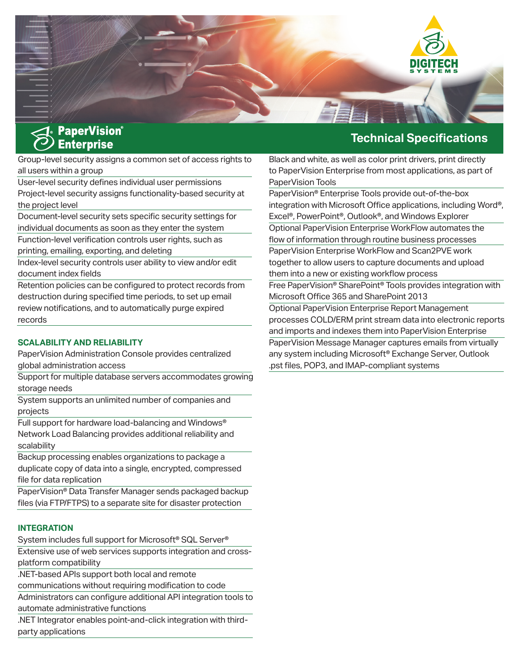

Group-level security assigns a common set of access rights to all users within a group

User-level security defines individual user permissions Project-level security assigns functionality-based security at the project level

Document-level security sets specific security settings for individual documents as soon as they enter the system

Function-level verification controls user rights, such as printing, emailing, exporting, and deleting

Index-level security controls user ability to view and/or edit document index fields

Retention policies can be configured to protect records from destruction during specified time periods, to set up email review notifications, and to automatically purge expired records

#### **SCALABILITY AND RELIABILITY**

PaperVision Administration Console provides centralized global administration access

Support for multiple database servers accommodates growing storage needs

System supports an unlimited number of companies and projects

Full support for hardware load-balancing and Windows® Network Load Balancing provides additional reliability and scalability

Backup processing enables organizations to package a duplicate copy of data into a single, encrypted, compressed file for data replication

PaperVision® Data Transfer Manager sends packaged backup files (via FTP/FTPS) to a separate site for disaster protection

#### **INTEGRATION**

System includes full support for Microsoft® SQL Server®

Extensive use of web services supports integration and crossplatform compatibility

.NET-based APIs support both local and remote

communications without requiring modification to code

Administrators can configure additional API integration tools to automate administrative functions

.NET Integrator enables point-and-click integration with thirdparty applications

## **Technical Specifications**

Black and white, as well as color print drivers, print directly to PaperVision Enterprise from most applications, as part of PaperVision Tools

PaperVision® Enterprise Tools provide out-of-the-box integration with Microsoft Office applications, including Word®, Excel®, PowerPoint®, Outlook®, and Windows Explorer Optional PaperVision Enterprise WorkFlow automates the flow of information through routine business processes PaperVision Enterprise WorkFlow and Scan2PVE work together to allow users to capture documents and upload them into a new or existing workflow process Free PaperVision® SharePoint® Tools provides integration with Microsoft Office 365 and SharePoint 2013

Optional PaperVision Enterprise Report Management processes COLD/ERM print stream data into electronic reports and imports and indexes them into PaperVision Enterprise PaperVision Message Manager captures emails from virtually any system including Microsoft® Exchange Server, Outlook .pst files, POP3, and IMAP-compliant systems